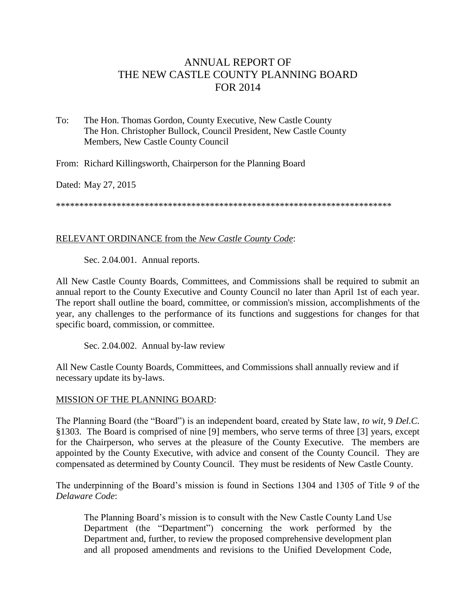# ANNUAL REPORT OF THE NEW CASTLE COUNTY PLANNING BOARD FOR 2014

To: The Hon. Thomas Gordon, County Executive, New Castle County The Hon. Christopher Bullock, Council President, New Castle County Members, New Castle County Council

From: Richard Killingsworth, Chairperson for the Planning Board

Dated: May 27, 2015

\*\*\*\*\*\*\*\*\*\*\*\*\*\*\*\*\*\*\*\*\*\*\*\*\*\*\*\*\*\*\*\*\*\*\*\*\*\*\*\*\*\*\*\*\*\*\*\*\*\*\*\*\*\*\*\*\*\*\*\*\*\*\*\*\*\*\*\*\*\*\*\*

### RELEVANT ORDINANCE from the *New Castle County Code*:

Sec. 2.04.001. Annual reports.

All New Castle County Boards, Committees, and Commissions shall be required to submit an annual report to the County Executive and County Council no later than April 1st of each year. The report shall outline the board, committee, or commission's mission, accomplishments of the year, any challenges to the performance of its functions and suggestions for changes for that specific board, commission, or committee.

Sec. 2.04.002. Annual by-law review

All New Castle County Boards, Committees, and Commissions shall annually review and if necessary update its by-laws.

#### MISSION OF THE PLANNING BOARD:

The Planning Board (the "Board") is an independent board, created by State law, *to wit*, 9 *Del.C.* §1303. The Board is comprised of nine [9] members, who serve terms of three [3] years, except for the Chairperson, who serves at the pleasure of the County Executive. The members are appointed by the County Executive, with advice and consent of the County Council. They are compensated as determined by County Council. They must be residents of New Castle County.

The underpinning of the Board's mission is found in Sections 1304 and 1305 of Title 9 of the *Delaware Code*:

The Planning Board's mission is to consult with the New Castle County Land Use Department (the "Department") concerning the work performed by the Department and, further, to review the proposed comprehensive development plan and all proposed amendments and revisions to the Unified Development Code,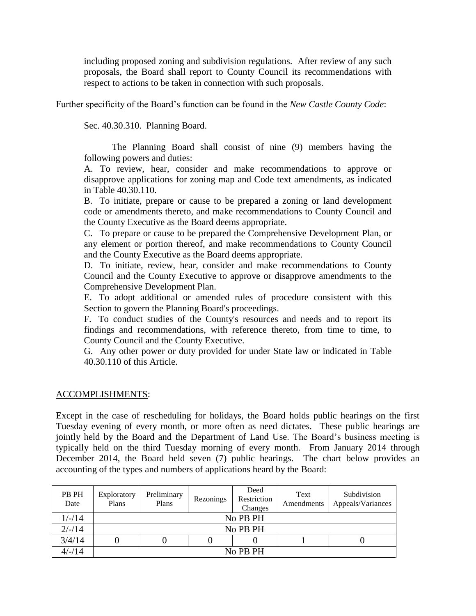including proposed zoning and subdivision regulations. After review of any such proposals, the Board shall report to County Council its recommendations with respect to actions to be taken in connection with such proposals.

Further specificity of the Board's function can be found in the *New Castle County Code*:

Sec. 40.30.310. Planning Board.

The Planning Board shall consist of nine (9) members having the following powers and duties:

A. To review, hear, consider and make recommendations to approve or disapprove applications for zoning map and Code text amendments, as indicated in Table 40.30.110.

B. To initiate, prepare or cause to be prepared a zoning or land development code or amendments thereto, and make recommendations to County Council and the County Executive as the Board deems appropriate.

C. To prepare or cause to be prepared the Comprehensive Development Plan, or any element or portion thereof, and make recommendations to County Council and the County Executive as the Board deems appropriate.

D. To initiate, review, hear, consider and make recommendations to County Council and the County Executive to approve or disapprove amendments to the Comprehensive Development Plan.

E. To adopt additional or amended rules of procedure consistent with this Section to govern the Planning Board's proceedings.

F. To conduct studies of the County's resources and needs and to report its findings and recommendations, with reference thereto, from time to time, to County Council and the County Executive.

G. Any other power or duty provided for under State law or indicated in Table 40.30.110 of this Article.

## ACCOMPLISHMENTS:

Except in the case of rescheduling for holidays, the Board holds public hearings on the first Tuesday evening of every month, or more often as need dictates. These public hearings are jointly held by the Board and the Department of Land Use. The Board's business meeting is typically held on the third Tuesday morning of every month. From January 2014 through December 2014, the Board held seven (7) public hearings. The chart below provides an accounting of the types and numbers of applications heard by the Board:

| PB PH<br>Date | Exploratory<br>Plans | Preliminary<br>Plans | Rezonings | Deed<br>Restriction<br>Changes | Text<br>Amendments | Subdivision<br>Appeals/Variances |  |  |  |  |
|---------------|----------------------|----------------------|-----------|--------------------------------|--------------------|----------------------------------|--|--|--|--|
| $1/-/14$      | No PB PH             |                      |           |                                |                    |                                  |  |  |  |  |
| $2/-/14$      | No PB PH             |                      |           |                                |                    |                                  |  |  |  |  |
| 3/4/14        |                      |                      |           |                                |                    |                                  |  |  |  |  |
| $4/-/14$      | No PB PH             |                      |           |                                |                    |                                  |  |  |  |  |